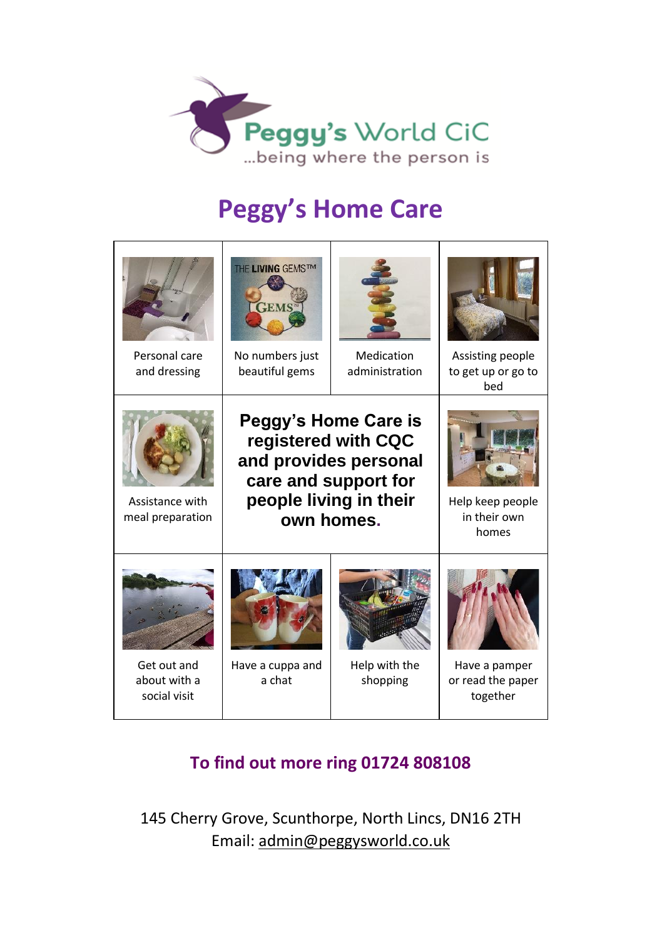

## **Peggy's Home Care**

| Personal care<br>and dressing               | THE LIVING GEMSTM<br><b>TEMS</b><br>No numbers just<br>beautiful gems                                                                | Medication<br>administration | Assisting people<br>to get up or go to<br>bed  |
|---------------------------------------------|--------------------------------------------------------------------------------------------------------------------------------------|------------------------------|------------------------------------------------|
| Assistance with<br>meal preparation         | Peggy's Home Care is<br>registered with CQC<br>and provides personal<br>care and support for<br>people living in their<br>own homes. |                              | Help keep people<br>in their own<br>homes      |
| Get out and<br>about with a<br>social visit | Have a cuppa and<br>a chat                                                                                                           | Help with the<br>shopping    | Have a pamper<br>or read the paper<br>together |

## **To find out more ring 01724 808108**

145 Cherry Grove, Scunthorpe, North Lincs, DN16 2TH Email: [admin@peggysworld.co.uk](mailto:admin@peggysworld.co.uk)